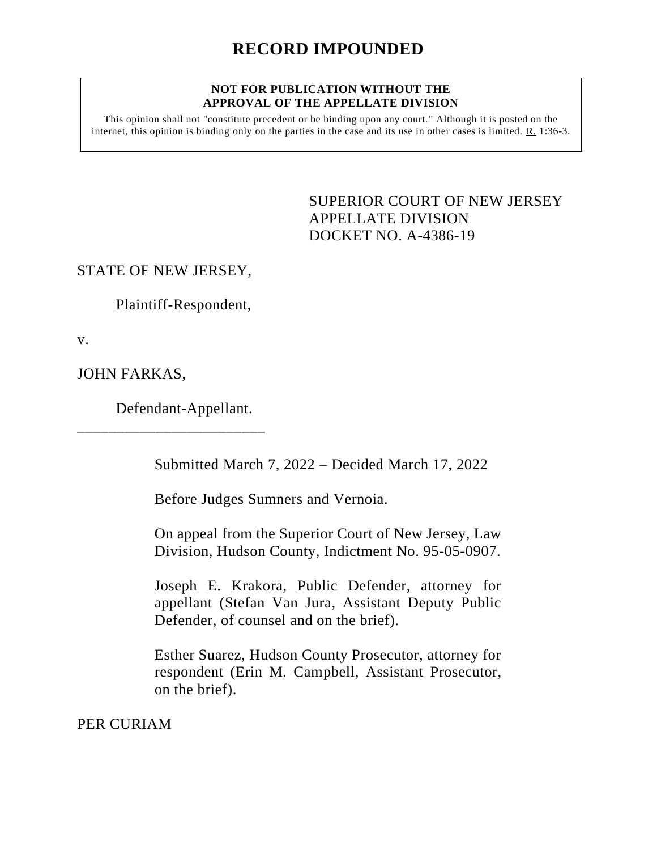#### **NOT FOR PUBLICATION WITHOUT THE APPROVAL OF THE APPELLATE DIVISION**

This opinion shall not "constitute precedent or be binding upon any court." Although it is posted on the internet, this opinion is binding only on the parties in the case and its use in other cases is limited. R. 1:36-3.

> <span id="page-0-0"></span>SUPERIOR COURT OF NEW JERSEY APPELLATE DIVISION DOCKET NO. A-4386-19

STATE OF NEW JERSEY,

Plaintiff-Respondent,

v.

JOHN FARKAS,

Defendant-Appellant.

\_\_\_\_\_\_\_\_\_\_\_\_\_\_\_\_\_\_\_\_\_\_\_\_

Submitted March 7, 2022 – Decided March 17, 2022

Before Judges Sumners and Vernoia.

On appeal from the Superior Court of New Jersey, Law Division, Hudson County, Indictment No. 95-05-0907.

Joseph E. Krakora, Public Defender, attorney for appellant (Stefan Van Jura, Assistant Deputy Public Defender, of counsel and on the brief).

Esther Suarez, Hudson County Prosecutor, attorney for respondent (Erin M. Campbell, Assistant Prosecutor, on the brief).

PER CURIAM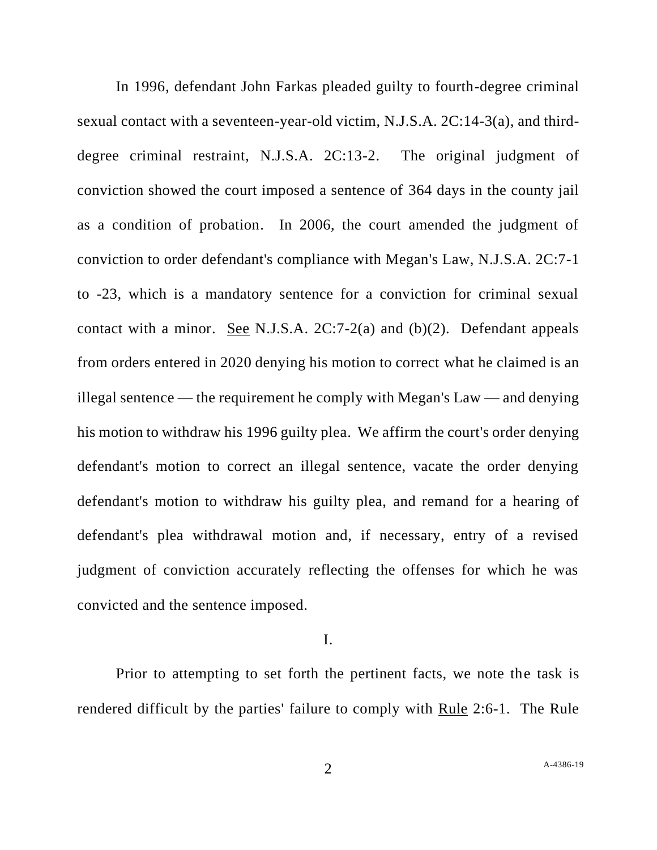In 1996, defendant John Farkas pleaded guilty to fourth-degree criminal sexual contact with a seventeen-year-old victim, N.J.S.A. 2C:14-3(a), and thirddegree criminal restraint, N.J.S.A. 2C:13-2. The original judgment of conviction showed the court imposed a sentence of 364 days in the county jail as a condition of probation. In 2006, the court amended the judgment of conviction to order defendant's compliance with Megan's Law, N.J.S.A. 2C:7-1 to -23, which is a mandatory sentence for a conviction for criminal sexual contact with a minor. See N.J.S.A. 2C:7-2(a) and (b)(2). Defendant appeals from orders entered in 2020 denying his motion to correct what he claimed is an illegal sentence — the requirement he comply with Megan's Law — and denying his motion to withdraw his 1996 guilty plea. We affirm the court's order denying defendant's motion to correct an illegal sentence, vacate the order denying defendant's motion to withdraw his guilty plea, and remand for a hearing of defendant's plea withdrawal motion and, if necessary, entry of a revised judgment of conviction accurately reflecting the offenses for which he was convicted and the sentence imposed.

# I.

Prior to attempting to set forth the pertinent facts, we note the task is rendered difficult by the parties' failure to comply with Rule 2:6-1. The Rule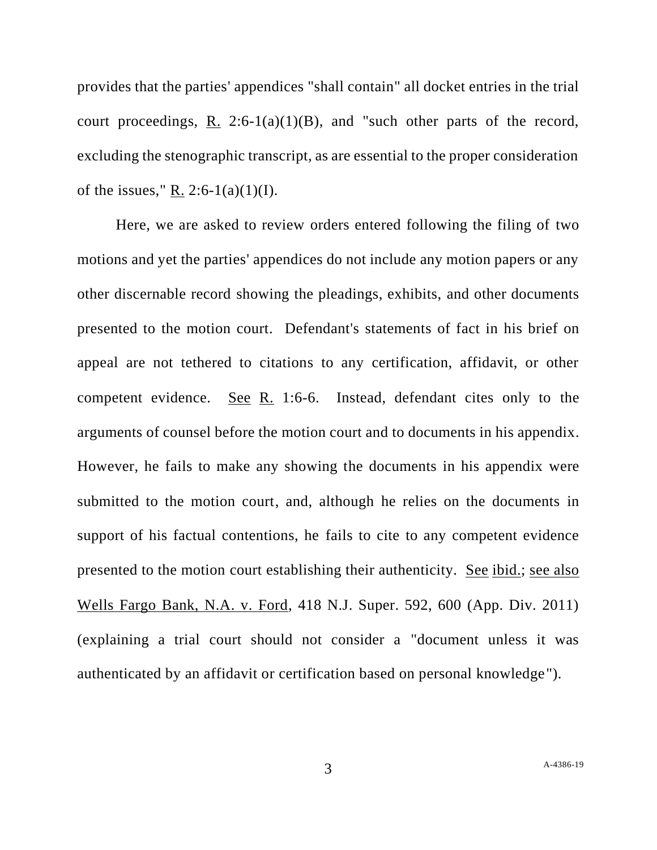provides that the parties' appendices "shall contain" all docket entries in the trial court proceedings, R. 2:6-1(a)(1)(B), and "such other parts of the record, excluding the stenographic transcript, as are essential to the proper consideration of the issues," R. 2:6-1(a)(1)(I).

Here, we are asked to review orders entered following the filing of two motions and yet the parties' appendices do not include any motion papers or any other discernable record showing the pleadings, exhibits, and other documents presented to the motion court. Defendant's statements of fact in his brief on appeal are not tethered to citations to any certification, affidavit, or other competent evidence. See R. 1:6-6. Instead, defendant cites only to the arguments of counsel before the motion court and to documents in his appendix. However, he fails to make any showing the documents in his appendix were submitted to the motion court, and, although he relies on the documents in support of his factual contentions, he fails to cite to any competent evidence presented to the motion court establishing their authenticity. See ibid.; see also Wells Fargo Bank, N.A. v. Ford, 418 N.J. Super. 592, 600 (App. Div. 2011) (explaining a trial court should not consider a "document unless it was authenticated by an affidavit or certification based on personal knowledge").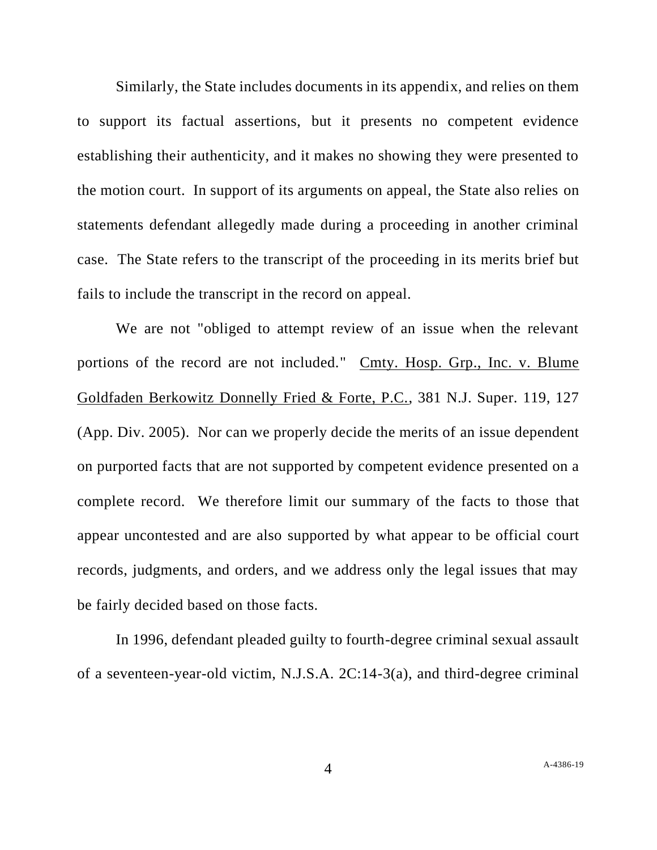Similarly, the State includes documents in its appendix, and relies on them to support its factual assertions, but it presents no competent evidence establishing their authenticity, and it makes no showing they were presented to the motion court. In support of its arguments on appeal, the State also relies on statements defendant allegedly made during a proceeding in another criminal case. The State refers to the transcript of the proceeding in its merits brief but fails to include the transcript in the record on appeal.

We are not "obliged to attempt review of an issue when the relevant portions of the record are not included." Cmty. Hosp. Grp., Inc. v. Blume Goldfaden Berkowitz Donnelly Fried & Forte, P.C., 381 N.J. Super. 119, 127 (App. Div. 2005). Nor can we properly decide the merits of an issue dependent on purported facts that are not supported by competent evidence presented on a complete record. We therefore limit our summary of the facts to those that appear uncontested and are also supported by what appear to be official court records, judgments, and orders, and we address only the legal issues that may be fairly decided based on those facts.

In 1996, defendant pleaded guilty to fourth-degree criminal sexual assault of a seventeen-year-old victim, N.J.S.A. 2C:14-3(a), and third-degree criminal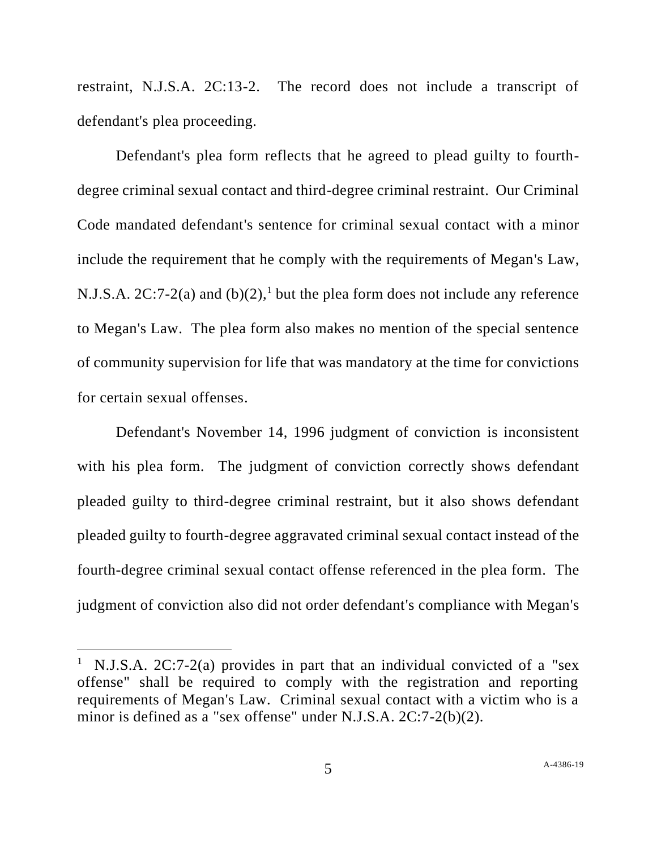restraint, N.J.S.A. 2C:13-2. The record does not include a transcript of defendant's plea proceeding.

Defendant's plea form reflects that he agreed to plead guilty to fourthdegree criminal sexual contact and third-degree criminal restraint. Our Criminal Code mandated defendant's sentence for criminal sexual contact with a minor include the requirement that he comply with the requirements of Megan's Law, N.J.S.A.  $2C:7-2(a)$  and  $(b)(2)$ ,<sup>1</sup> but the plea form does not include any reference to Megan's Law. The plea form also makes no mention of the special sentence of community supervision for life that was mandatory at the time for convictions for certain sexual offenses.

Defendant's November 14, 1996 judgment of conviction is inconsistent with his plea form. The judgment of conviction correctly shows defendant pleaded guilty to third-degree criminal restraint, but it also shows defendant pleaded guilty to fourth-degree aggravated criminal sexual contact instead of the fourth-degree criminal sexual contact offense referenced in the plea form. The judgment of conviction also did not order defendant's compliance with Megan's

<sup>&</sup>lt;sup>1</sup> N.J.S.A. 2C:7-2(a) provides in part that an individual convicted of a "sex offense" shall be required to comply with the registration and reporting requirements of Megan's Law. Criminal sexual contact with a victim who is a minor is defined as a "sex offense" under N.J.S.A. 2C:7-2(b)(2).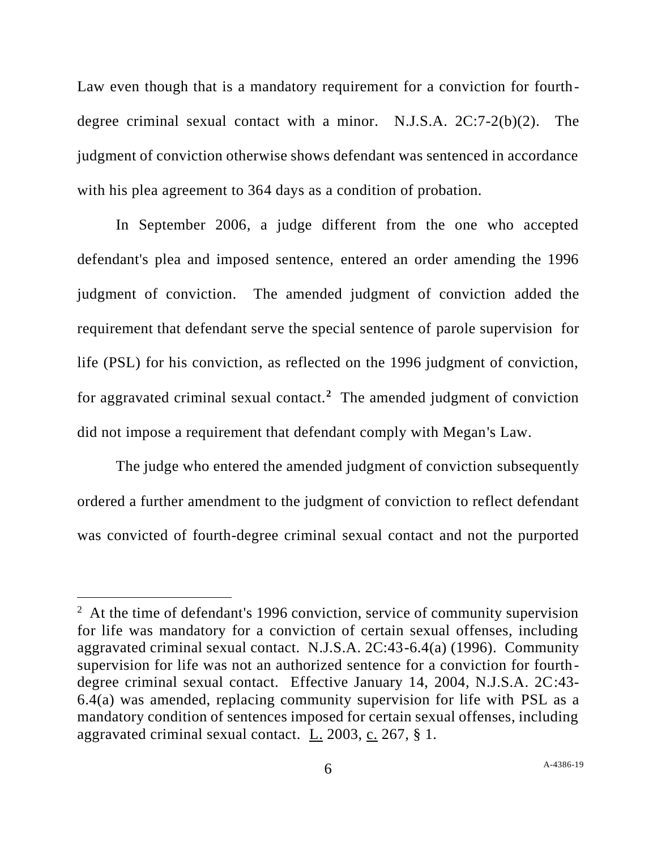Law even though that is a mandatory requirement for a conviction for fourthdegree criminal sexual contact with a minor. N.J.S.A. 2C:7-2(b)(2). The judgment of conviction otherwise shows defendant was sentenced in accordance with his plea agreement to 364 days as a condition of probation.

In September 2006, a judge different from the one who accepted defendant's plea and imposed sentence, entered an order amending the 1996 judgment of conviction. The amended judgment of conviction added the requirement that defendant serve the special sentence of parole supervision for life (PSL) for his conviction, as reflected on the 1996 judgment of conviction, for aggravated criminal sexual contact.**<sup>2</sup>** The amended judgment of conviction did not impose a requirement that defendant comply with Megan's Law.

The judge who entered the amended judgment of conviction subsequently ordered a further amendment to the judgment of conviction to reflect defendant was convicted of fourth-degree criminal sexual contact and not the purported

 $2<sup>2</sup>$  At the time of defendant's 1996 conviction, service of community supervision for life was mandatory for a conviction of certain sexual offenses, including aggravated criminal sexual contact. N.J.S.A. 2C:43-6.4(a) (1996). Community supervision for life was not an authorized sentence for a conviction for fourthdegree criminal sexual contact. Effective January 14, 2004, N.J.S.A. 2C:43- 6.4(a) was amended, replacing community supervision for life with PSL as a mandatory condition of sentences imposed for certain sexual offenses, including aggravated criminal sexual contact. L. 2003, c. 267, § 1.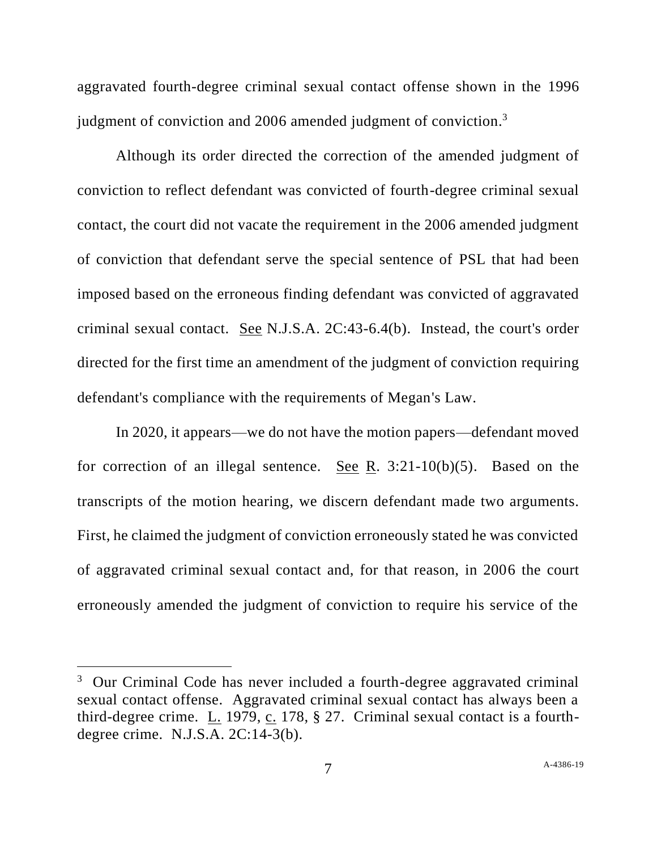aggravated fourth-degree criminal sexual contact offense shown in the 1996 judgment of conviction and 2006 amended judgment of conviction.<sup>3</sup>

Although its order directed the correction of the amended judgment of conviction to reflect defendant was convicted of fourth-degree criminal sexual contact, the court did not vacate the requirement in the 2006 amended judgment of conviction that defendant serve the special sentence of PSL that had been imposed based on the erroneous finding defendant was convicted of aggravated criminal sexual contact. See N.J.S.A. 2C:43-6.4(b). Instead, the court's order directed for the first time an amendment of the judgment of conviction requiring defendant's compliance with the requirements of Megan's Law.

In 2020, it appears—we do not have the motion papers—defendant moved for correction of an illegal sentence. See R. 3:21-10(b)(5). Based on the transcripts of the motion hearing, we discern defendant made two arguments. First, he claimed the judgment of conviction erroneously stated he was convicted of aggravated criminal sexual contact and, for that reason, in 2006 the court erroneously amended the judgment of conviction to require his service of the

 $3$  Our Criminal Code has never included a fourth-degree aggravated criminal sexual contact offense. Aggravated criminal sexual contact has always been a third-degree crime. L. 1979, c. 178, § 27. Criminal sexual contact is a fourthdegree crime. N.J.S.A. 2C:14-3(b).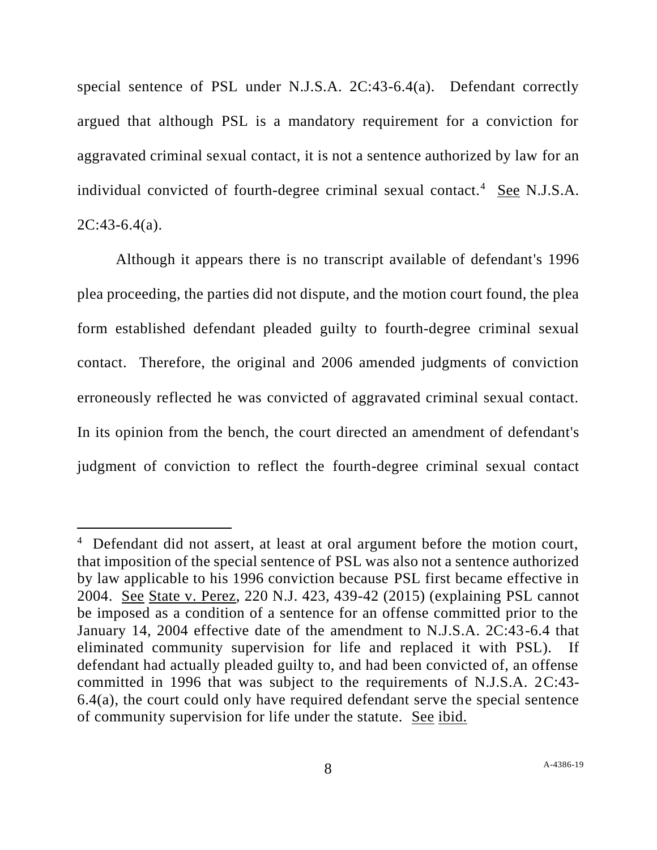special sentence of PSL under N.J.S.A. 2C:43-6.4(a). Defendant correctly argued that although PSL is a mandatory requirement for a conviction for aggravated criminal sexual contact, it is not a sentence authorized by law for an individual convicted of fourth-degree criminal sexual contact.<sup>4</sup> See N.J.S.A.  $2C:43-6.4(a)$ .

Although it appears there is no transcript available of defendant's 1996 plea proceeding, the parties did not dispute, and the motion court found, the plea form established defendant pleaded guilty to fourth-degree criminal sexual contact. Therefore, the original and 2006 amended judgments of conviction erroneously reflected he was convicted of aggravated criminal sexual contact. In its opinion from the bench, the court directed an amendment of defendant's judgment of conviction to reflect the fourth-degree criminal sexual contact

<sup>&</sup>lt;sup>4</sup> Defendant did not assert, at least at oral argument before the motion court, that imposition of the special sentence of PSL was also not a sentence authorized by law applicable to his 1996 conviction because PSL first became effective in 2004. See State v. Perez, 220 N.J. 423, 439-42 (2015) (explaining PSL cannot be imposed as a condition of a sentence for an offense committed prior to the January 14, 2004 effective date of the amendment to N.J.S.A. 2C:43-6.4 that eliminated community supervision for life and replaced it with PSL). If defendant had actually pleaded guilty to, and had been convicted of, an offense committed in 1996 that was subject to the requirements of N.J.S.A. 2C:43- 6.4(a), the court could only have required defendant serve the special sentence of community supervision for life under the statute. See ibid.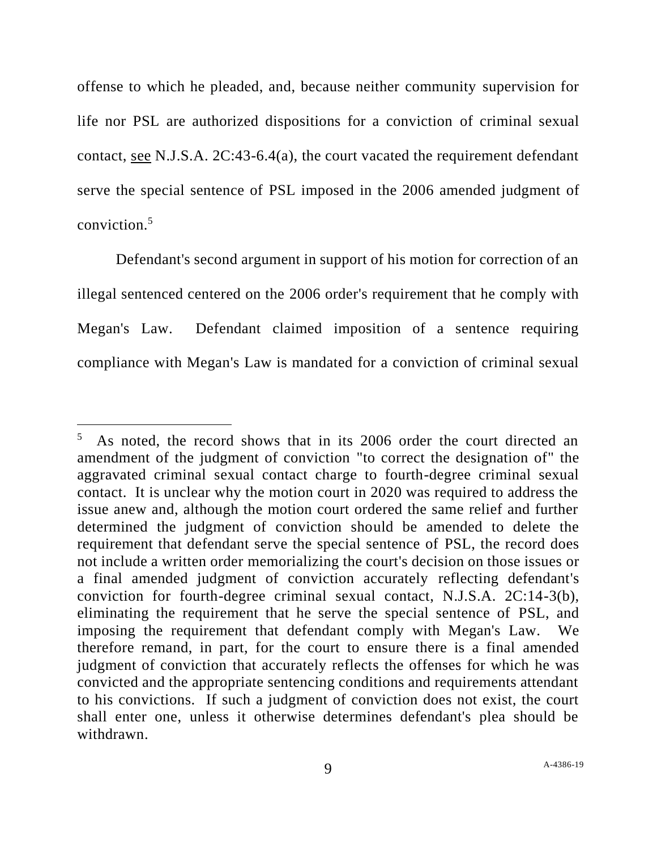offense to which he pleaded, and, because neither community supervision for life nor PSL are authorized dispositions for a conviction of criminal sexual contact, see N.J.S.A. 2C:43-6.4(a), the court vacated the requirement defendant serve the special sentence of PSL imposed in the 2006 amended judgment of conviction.<sup>5</sup>

Defendant's second argument in support of his motion for correction of an illegal sentenced centered on the 2006 order's requirement that he comply with Megan's Law. Defendant claimed imposition of a sentence requiring compliance with Megan's Law is mandated for a conviction of criminal sexual

<sup>5</sup> As noted, the record shows that in its 2006 order the court directed an amendment of the judgment of conviction "to correct the designation of" the aggravated criminal sexual contact charge to fourth-degree criminal sexual contact. It is unclear why the motion court in 2020 was required to address the issue anew and, although the motion court ordered the same relief and further determined the judgment of conviction should be amended to delete the requirement that defendant serve the special sentence of PSL, the record does not include a written order memorializing the court's decision on those issues or a final amended judgment of conviction accurately reflecting defendant's conviction for fourth-degree criminal sexual contact, N.J.S.A. 2C:14-3(b), eliminating the requirement that he serve the special sentence of PSL, and imposing the requirement that defendant comply with Megan's Law. We therefore remand, in part, for the court to ensure there is a final amended judgment of conviction that accurately reflects the offenses for which he was convicted and the appropriate sentencing conditions and requirements attendant to his convictions. If such a judgment of conviction does not exist, the court shall enter one, unless it otherwise determines defendant's plea should be withdrawn.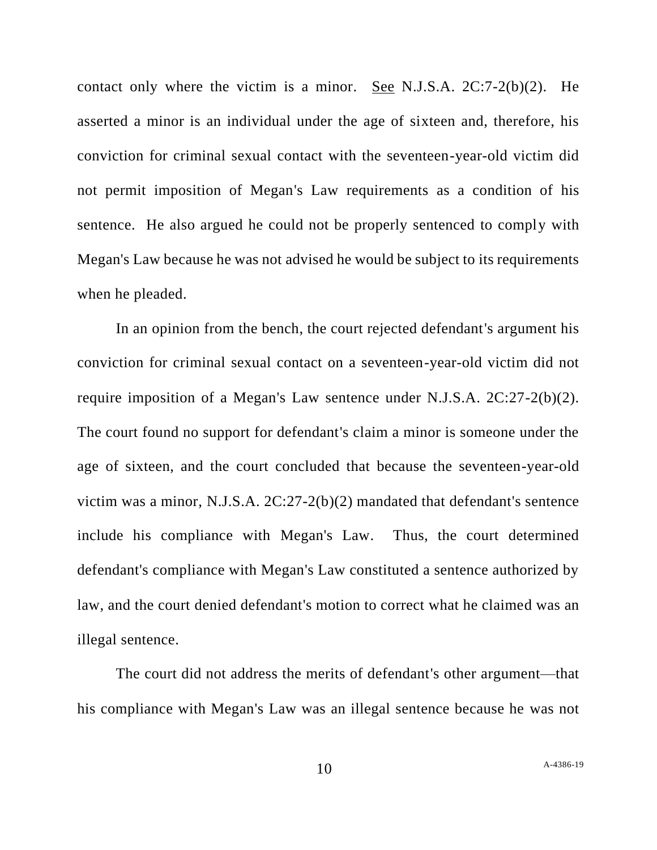contact only where the victim is a minor. See N.J.S.A. 2C:7-2(b)(2). He asserted a minor is an individual under the age of sixteen and, therefore, his conviction for criminal sexual contact with the seventeen-year-old victim did not permit imposition of Megan's Law requirements as a condition of his sentence. He also argued he could not be properly sentenced to comply with Megan's Law because he was not advised he would be subject to its requirements when he pleaded.

In an opinion from the bench, the court rejected defendant's argument his conviction for criminal sexual contact on a seventeen-year-old victim did not require imposition of a Megan's Law sentence under N.J.S.A. 2C:27-2(b)(2). The court found no support for defendant's claim a minor is someone under the age of sixteen, and the court concluded that because the seventeen-year-old victim was a minor, N.J.S.A. 2C:27-2(b)(2) mandated that defendant's sentence include his compliance with Megan's Law. Thus, the court determined defendant's compliance with Megan's Law constituted a sentence authorized by law, and the court denied defendant's motion to correct what he claimed was an illegal sentence.

The court did not address the merits of defendant's other argument—that his compliance with Megan's Law was an illegal sentence because he was not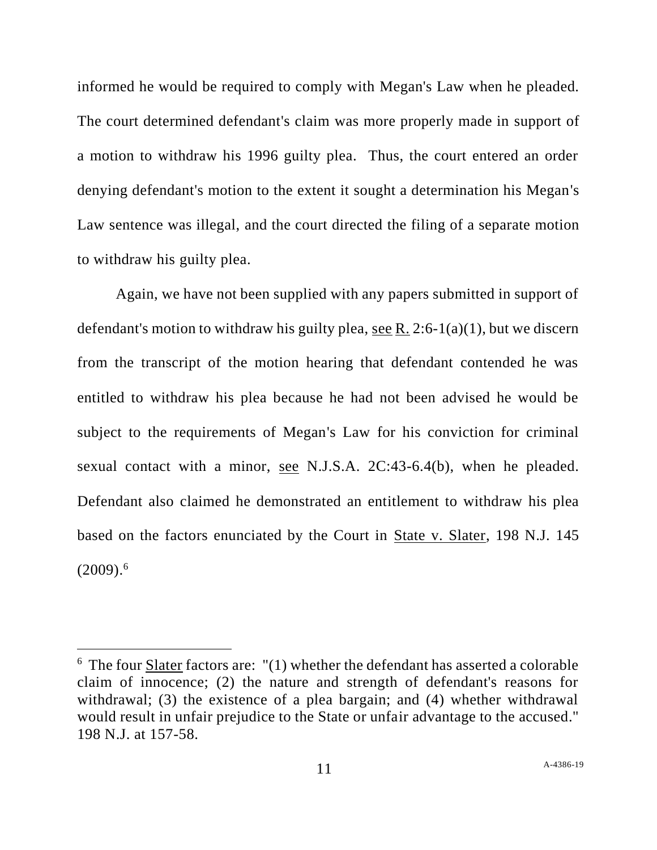informed he would be required to comply with Megan's Law when he pleaded. The court determined defendant's claim was more properly made in support of a motion to withdraw his 1996 guilty plea. Thus, the court entered an order denying defendant's motion to the extent it sought a determination his Megan's Law sentence was illegal, and the court directed the filing of a separate motion to withdraw his guilty plea.

Again, we have not been supplied with any papers submitted in support of defendant's motion to withdraw his guilty plea, see R. 2:6-1(a)(1), but we discern from the transcript of the motion hearing that defendant contended he was entitled to withdraw his plea because he had not been advised he would be subject to the requirements of Megan's Law for his conviction for criminal sexual contact with a minor, see N.J.S.A. 2C:43-6.4(b), when he pleaded. Defendant also claimed he demonstrated an entitlement to withdraw his plea based on the factors enunciated by the Court in <u>State v. Slater</u>, 198 N.J. 145  $(2009).<sup>6</sup>$ 

 $6$  The four **Slater** factors are:  $''(1)$  whether the defendant has asserted a colorable claim of innocence; (2) the nature and strength of defendant's reasons for withdrawal; (3) the existence of a plea bargain; and (4) whether withdrawal would result in unfair prejudice to the State or unfair advantage to the accused." 198 N.J. at 157-58.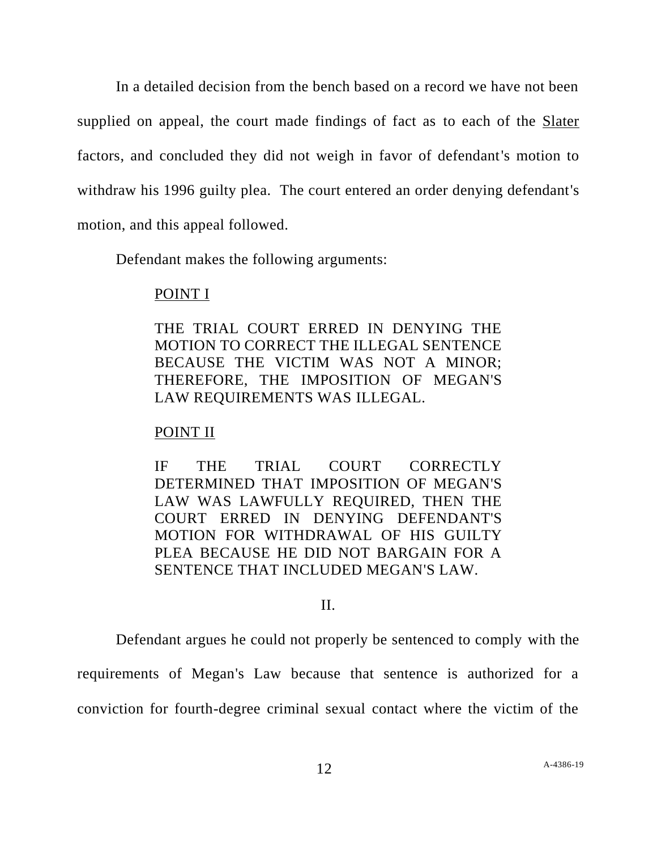In a detailed decision from the bench based on a record we have not been supplied on appeal, the court made findings of fact as to each of the Slater factors, and concluded they did not weigh in favor of defendant's motion to withdraw his 1996 guilty plea. The court entered an order denying defendant's motion, and this appeal followed.

Defendant makes the following arguments:

#### POINT I

THE TRIAL COURT ERRED IN DENYING THE MOTION TO CORRECT THE ILLEGAL SENTENCE BECAUSE THE VICTIM WAS NOT A MINOR; THEREFORE, THE IMPOSITION OF MEGAN'S LAW REQUIREMENTS WAS ILLEGAL.

## POINT II

IF THE TRIAL COURT CORRECTLY DETERMINED THAT IMPOSITION OF MEGAN'S LAW WAS LAWFULLY REQUIRED, THEN THE COURT ERRED IN DENYING DEFENDANT'S MOTION FOR WITHDRAWAL OF HIS GUILTY PLEA BECAUSE HE DID NOT BARGAIN FOR A SENTENCE THAT INCLUDED MEGAN'S LAW.

## II.

Defendant argues he could not properly be sentenced to comply with the requirements of Megan's Law because that sentence is authorized for a

conviction for fourth-degree criminal sexual contact where the victim of the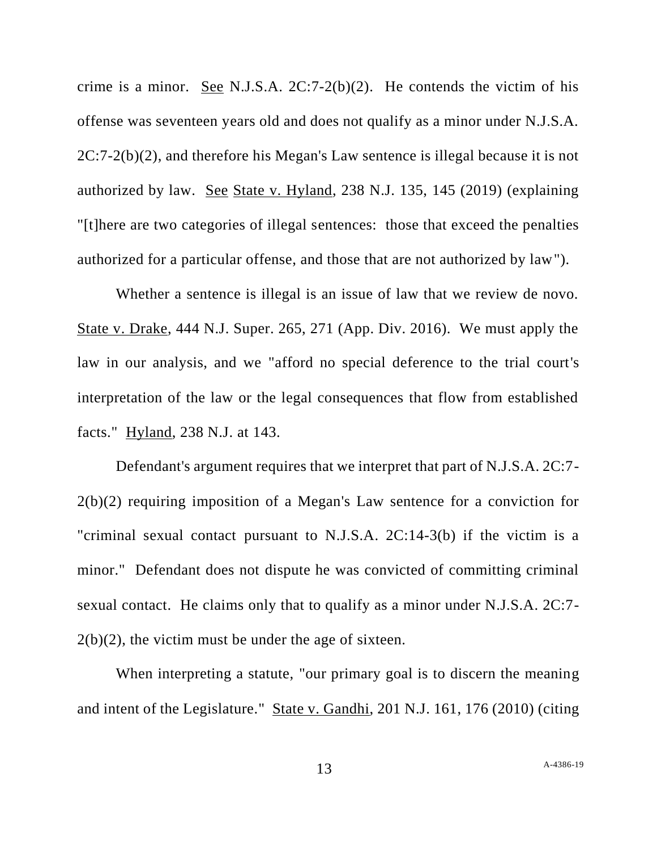crime is a minor. See N.J.S.A.  $2C:7-2(b)(2)$ . He contends the victim of his offense was seventeen years old and does not qualify as a minor under N.J.S.A. 2C:7-2(b)(2), and therefore his Megan's Law sentence is illegal because it is not authorized by law. See State v. Hyland, 238 N.J. 135, 145 (2019) (explaining "[t]here are two categories of illegal sentences: those that exceed the penalties authorized for a particular offense, and those that are not authorized by law").

Whether a sentence is illegal is an issue of law that we review de novo. State v. Drake, 444 N.J. Super. 265, 271 (App. Div. 2016). We must apply the law in our analysis, and we "afford no special deference to the trial court's interpretation of the law or the legal consequences that flow from established facts." Hyland, 238 N.J. at 143.

Defendant's argument requires that we interpret that part of N.J.S.A. 2C:7- 2(b)(2) requiring imposition of a Megan's Law sentence for a conviction for "criminal sexual contact pursuant to N.J.S.A. 2C:14-3(b) if the victim is a minor." Defendant does not dispute he was convicted of committing criminal sexual contact. He claims only that to qualify as a minor under N.J.S.A. 2C:7-  $2(b)(2)$ , the victim must be under the age of sixteen.

When interpreting a statute, "our primary goal is to discern the meaning and intent of the Legislature." State v. Gandhi, 201 N.J. 161, 176 (2010) (citing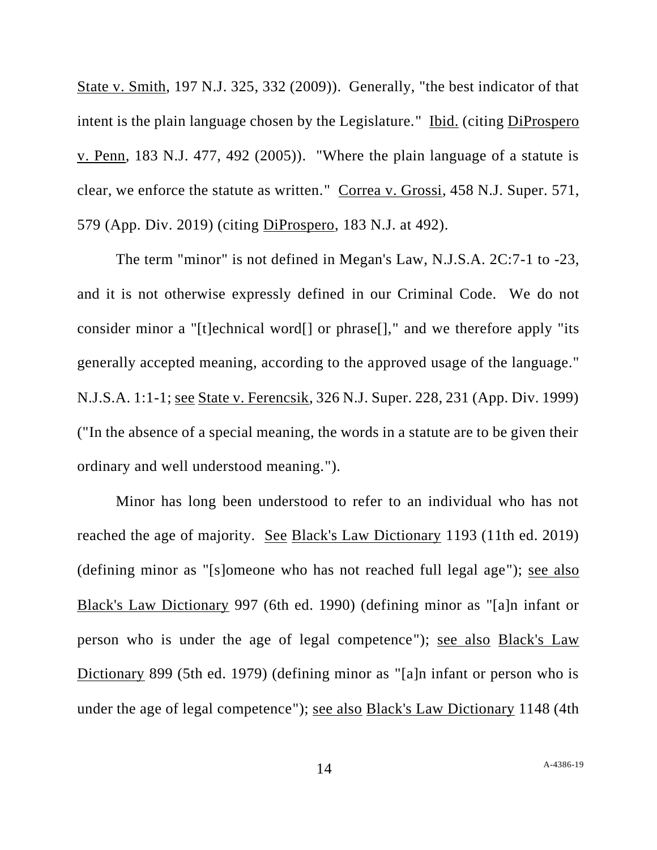State v. Smith, 197 N.J. 325, 332 (2009)). Generally, "the best indicator of that intent is the plain language chosen by the Legislature." Ibid. (citing DiProspero v. Penn, 183 N.J. 477, 492 (2005)). "Where the plain language of a statute is clear, we enforce the statute as written." Correa v. Grossi, 458 N.J. Super. 571, 579 (App. Div. 2019) (citing DiProspero, 183 N.J. at 492).

The term "minor" is not defined in Megan's Law, N.J.S.A. 2C:7-1 to -23, and it is not otherwise expressly defined in our Criminal Code. We do not consider minor a "[t]echnical word[] or phrase[]," and we therefore apply "its generally accepted meaning, according to the approved usage of the language." N.J.S.A. 1:1-1; see State v. Ferencsik, 326 N.J. Super. 228, 231 (App. Div. 1999) ("In the absence of a special meaning, the words in a statute are to be given their ordinary and well understood meaning.").

Minor has long been understood to refer to an individual who has not reached the age of majority. See Black's Law Dictionary 1193 (11th ed. 2019) (defining minor as "[s]omeone who has not reached full legal age"); see also Black's Law Dictionary 997 (6th ed. 1990) (defining minor as "[a]n infant or person who is under the age of legal competence"); see also Black's Law Dictionary 899 (5th ed. 1979) (defining minor as "[a]n infant or person who is under the age of legal competence"); see also Black's Law Dictionary 1148 (4th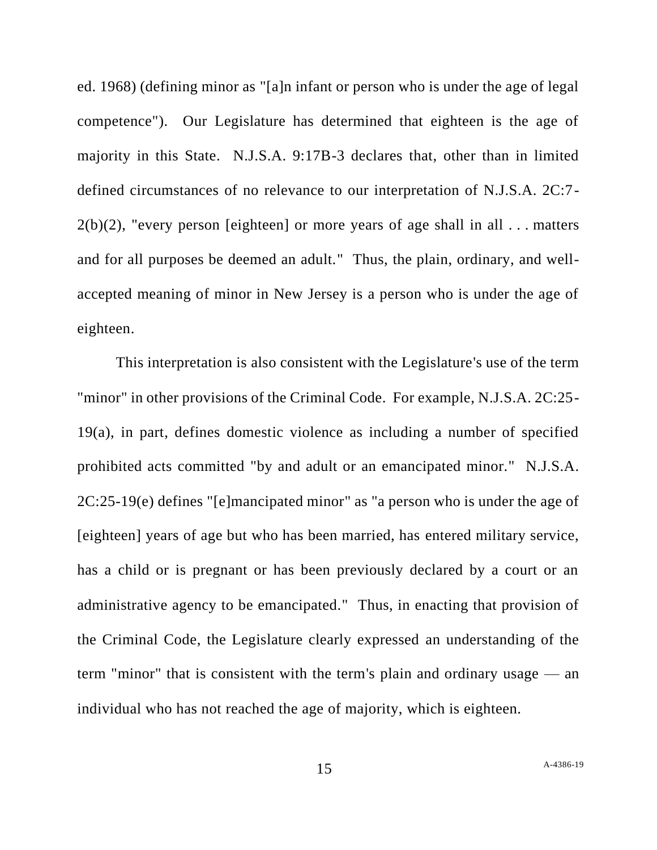ed. 1968) (defining minor as "[a]n infant or person who is under the age of legal competence"). Our Legislature has determined that eighteen is the age of majority in this State. N.J.S.A. 9:17B-3 declares that, other than in limited defined circumstances of no relevance to our interpretation of N.J.S.A. 2C:7-  $2(b)(2)$ , "every person [eighteen] or more years of age shall in all ... matters and for all purposes be deemed an adult." Thus, the plain, ordinary, and wellaccepted meaning of minor in New Jersey is a person who is under the age of eighteen.

This interpretation is also consistent with the Legislature's use of the term "minor" in other provisions of the Criminal Code. For example, N.J.S.A. 2C:25- 19(a), in part, defines domestic violence as including a number of specified prohibited acts committed "by and adult or an emancipated minor." N.J.S.A. 2C:25-19(e) defines "[e]mancipated minor" as "a person who is under the age of [eighteen] years of age but who has been married, has entered military service, has a child or is pregnant or has been previously declared by a court or an administrative agency to be emancipated." Thus, in enacting that provision of the Criminal Code, the Legislature clearly expressed an understanding of the term "minor" that is consistent with the term's plain and ordinary usage — an individual who has not reached the age of majority, which is eighteen.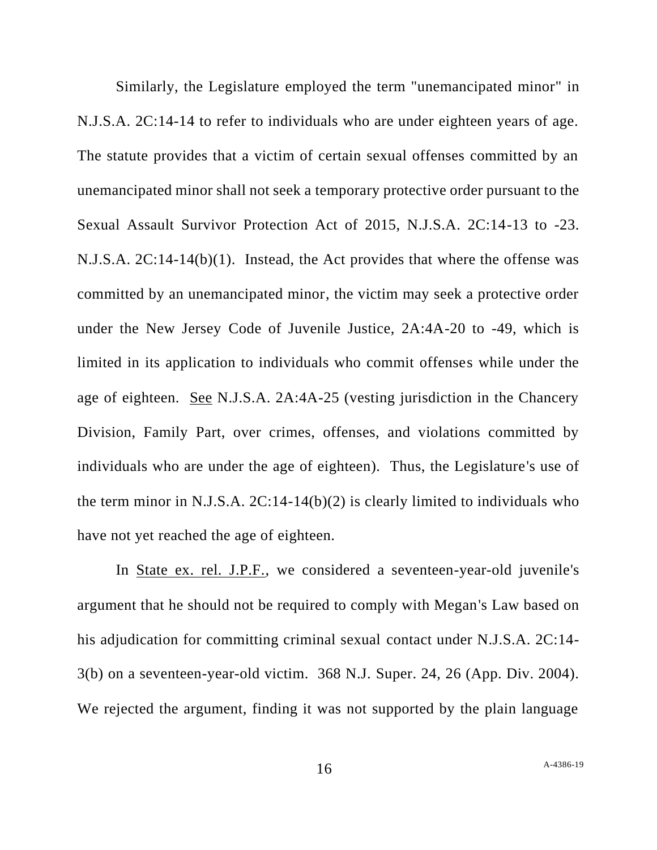Similarly, the Legislature employed the term "unemancipated minor" in N.J.S.A. 2C:14-14 to refer to individuals who are under eighteen years of age. The statute provides that a victim of certain sexual offenses committed by an unemancipated minor shall not seek a temporary protective order pursuant to the Sexual Assault Survivor Protection Act of 2015, N.J.S.A. 2C:14-13 to -23. N.J.S.A. 2C:14-14(b)(1). Instead, the Act provides that where the offense was committed by an unemancipated minor, the victim may seek a protective order under the New Jersey Code of Juvenile Justice, 2A:4A-20 to -49, which is limited in its application to individuals who commit offenses while under the age of eighteen. See N.J.S.A. 2A:4A-25 (vesting jurisdiction in the Chancery Division, Family Part, over crimes, offenses, and violations committed by individuals who are under the age of eighteen). Thus, the Legislature's use of the term minor in N.J.S.A. 2C:14-14(b)(2) is clearly limited to individuals who have not yet reached the age of eighteen.

In State ex. rel. J.P.F., we considered a seventeen-year-old juvenile's argument that he should not be required to comply with Megan's Law based on his adjudication for committing criminal sexual contact under N.J.S.A. 2C:14- 3(b) on a seventeen-year-old victim. 368 N.J. Super. 24, 26 (App. Div. 2004). We rejected the argument, finding it was not supported by the plain language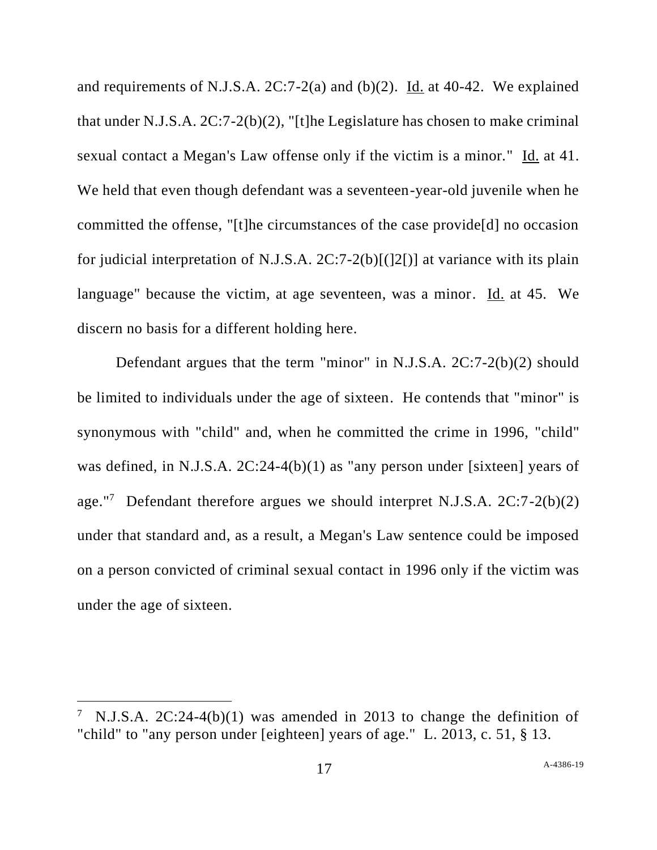and requirements of N.J.S.A. 2C:7-2(a) and (b)(2). Id. at 40-42. We explained that under N.J.S.A. 2C:7-2(b)(2), "[t]he Legislature has chosen to make criminal sexual contact a Megan's Law offense only if the victim is a minor." Id. at 41. We held that even though defendant was a seventeen-year-old juvenile when he committed the offense, "[t]he circumstances of the case provide[d] no occasion for judicial interpretation of N.J.S.A. 2C:7-2(b)[(]2[)] at variance with its plain language" because the victim, at age seventeen, was a minor. Id. at 45. We discern no basis for a different holding here.

Defendant argues that the term "minor" in N.J.S.A. 2C:7-2(b)(2) should be limited to individuals under the age of sixteen. He contends that "minor" is synonymous with "child" and, when he committed the crime in 1996, "child" was defined, in N.J.S.A. 2C:24-4(b)(1) as "any person under [sixteen] years of age."<sup>7</sup> Defendant therefore argues we should interpret N.J.S.A.  $2C:7-2(b)(2)$ under that standard and, as a result, a Megan's Law sentence could be imposed on a person convicted of criminal sexual contact in 1996 only if the victim was under the age of sixteen.

<sup>&</sup>lt;sup>7</sup> N.J.S.A. 2C:24-4(b)(1) was amended in 2013 to change the definition of "child" to "any person under [eighteen] years of age." L. 2013, c. 51, § 13.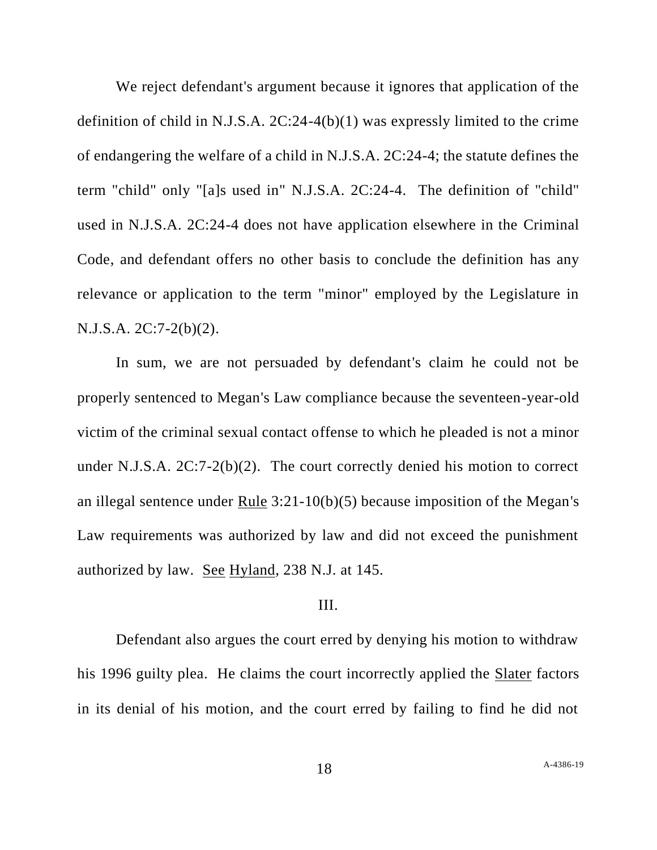We reject defendant's argument because it ignores that application of the definition of child in N.J.S.A. 2C:24-4(b)(1) was expressly limited to the crime of endangering the welfare of a child in N.J.S.A. 2C:24-4; the statute defines the term "child" only "[a]s used in" N.J.S.A. 2C:24-4. The definition of "child" used in N.J.S.A. 2C:24-4 does not have application elsewhere in the Criminal Code, and defendant offers no other basis to conclude the definition has any relevance or application to the term "minor" employed by the Legislature in N.J.S.A. 2C:7-2(b)(2).

In sum, we are not persuaded by defendant's claim he could not be properly sentenced to Megan's Law compliance because the seventeen-year-old victim of the criminal sexual contact offense to which he pleaded is not a minor under N.J.S.A. 2C:7-2(b)(2). The court correctly denied his motion to correct an illegal sentence under Rule 3:21-10(b)(5) because imposition of the Megan's Law requirements was authorized by law and did not exceed the punishment authorized by law. See Hyland, 238 N.J. at 145.

#### III.

Defendant also argues the court erred by denying his motion to withdraw his 1996 guilty plea. He claims the court incorrectly applied the Slater factors in its denial of his motion, and the court erred by failing to find he did not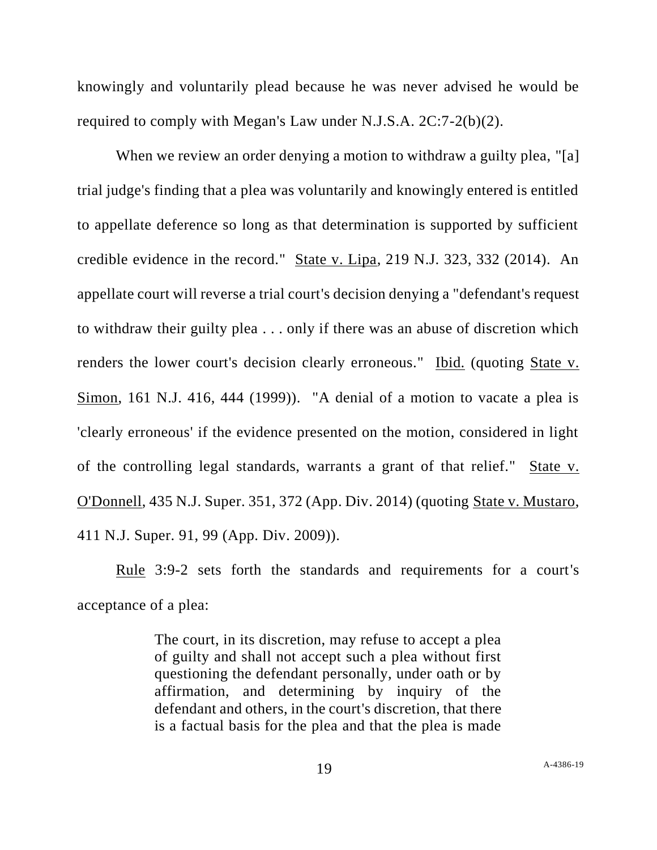knowingly and voluntarily plead because he was never advised he would be required to comply with Megan's Law under N.J.S.A. 2C:7-2(b)(2).

When we review an order denying a motion to withdraw a guilty plea, "[a] trial judge's finding that a plea was voluntarily and knowingly entered is entitled to appellate deference so long as that determination is supported by sufficient credible evidence in the record." State v. Lipa, 219 N.J. 323, 332 (2014). An appellate court will reverse a trial court's decision denying a "defendant's request to withdraw their guilty plea . . . only if there was an abuse of discretion which renders the lower court's decision clearly erroneous." Ibid. (quoting State v. Simon, 161 N.J. 416, 444 (1999)). "A denial of a motion to vacate a plea is 'clearly erroneous' if the evidence presented on the motion, considered in light of the controlling legal standards, warrants a grant of that relief." State v. O'Donnell, 435 N.J. Super. 351, 372 (App. Div. 2014) (quoting State v. Mustaro, 411 N.J. Super. 91, 99 (App. Div. 2009)).

Rule 3:9-2 sets forth the standards and requirements for a court's acceptance of a plea:

> The court, in its discretion, may refuse to accept a plea of guilty and shall not accept such a plea without first questioning the defendant personally, under oath or by affirmation, and determining by inquiry of the defendant and others, in the court's discretion, that there is a factual basis for the plea and that the plea is made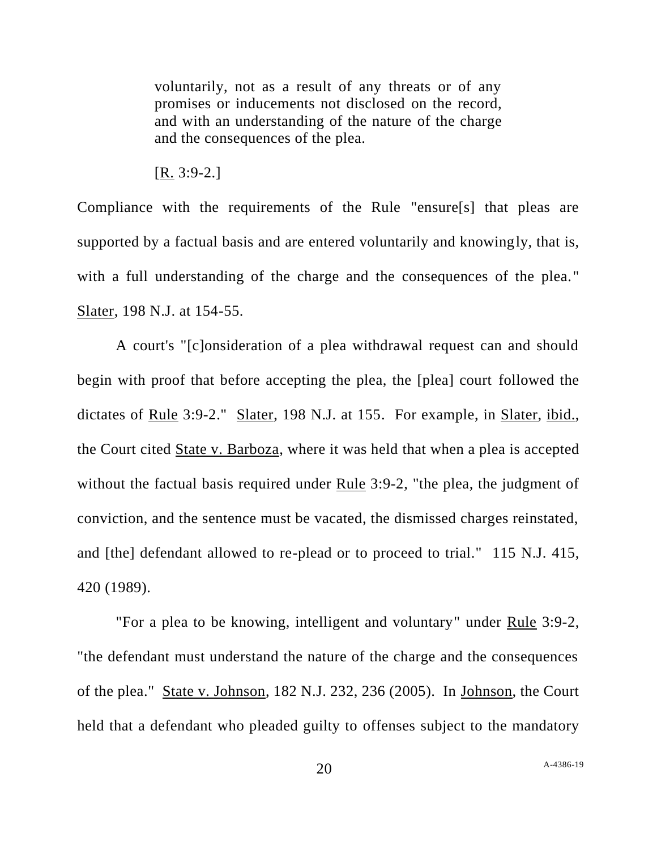voluntarily, not as a result of any threats or of any promises or inducements not disclosed on the record, and with an understanding of the nature of the charge and the consequences of the plea.

[R. 3:9-2.]

Compliance with the requirements of the Rule "ensure[s] that pleas are supported by a factual basis and are entered voluntarily and knowingly, that is, with a full understanding of the charge and the consequences of the plea." Slater, 198 N.J. at 154-55.

A court's "[c]onsideration of a plea withdrawal request can and should begin with proof that before accepting the plea, the [plea] court followed the dictates of Rule 3:9-2." Slater, 198 N.J. at 155. For example, in Slater, ibid., the Court cited State v. Barboza, where it was held that when a plea is accepted without the factual basis required under Rule 3:9-2, "the plea, the judgment of conviction, and the sentence must be vacated, the dismissed charges reinstated, and [the] defendant allowed to re-plead or to proceed to trial." 115 N.J. 415, 420 (1989).

"For a plea to be knowing, intelligent and voluntary" under Rule 3:9-2, "the defendant must understand the nature of the charge and the consequences of the plea." State v. Johnson, 182 N.J. 232, 236 (2005). In Johnson, the Court held that a defendant who pleaded guilty to offenses subject to the mandatory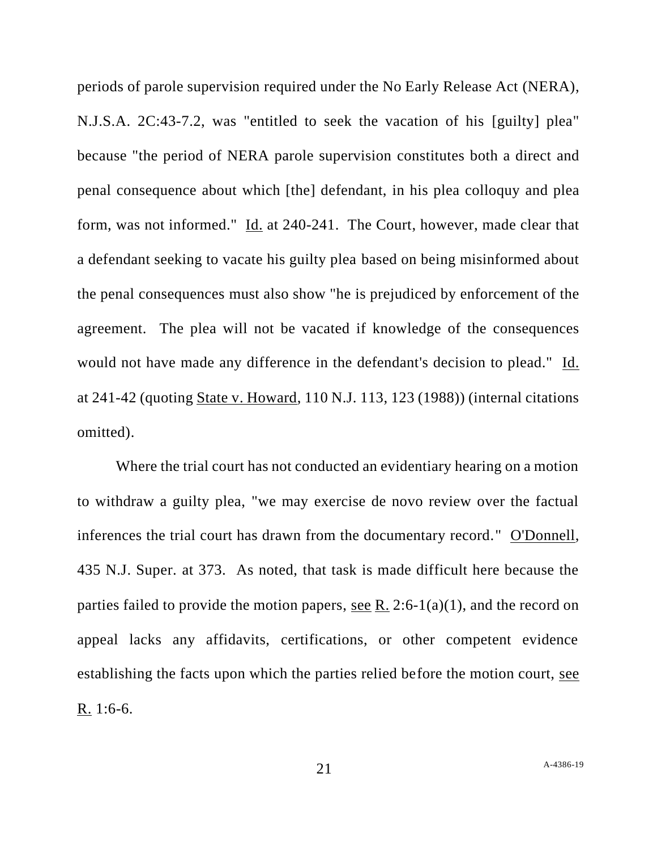periods of parole supervision required under the No Early Release Act (NERA), N.J.S.A. 2C:43-7.2, was "entitled to seek the vacation of his [guilty] plea" because "the period of NERA parole supervision constitutes both a direct and penal consequence about which [the] defendant, in his plea colloquy and plea form, was not informed." Id. at 240-241. The Court, however, made clear that a defendant seeking to vacate his guilty plea based on being misinformed about the penal consequences must also show "he is prejudiced by enforcement of the agreement. The plea will not be vacated if knowledge of the consequences would not have made any difference in the defendant's decision to plead." Id. at 241-42 (quoting State v. Howard, 110 N.J. 113, 123 (1988)) (internal citations omitted).

Where the trial court has not conducted an evidentiary hearing on a motion to withdraw a guilty plea, "we may exercise de novo review over the factual inferences the trial court has drawn from the documentary record." O'Donnell, 435 N.J. Super. at 373. As noted, that task is made difficult here because the parties failed to provide the motion papers, see R. 2:6-1(a)(1), and the record on appeal lacks any affidavits, certifications, or other competent evidence establishing the facts upon which the parties relied before the motion court, see R. 1:6-6.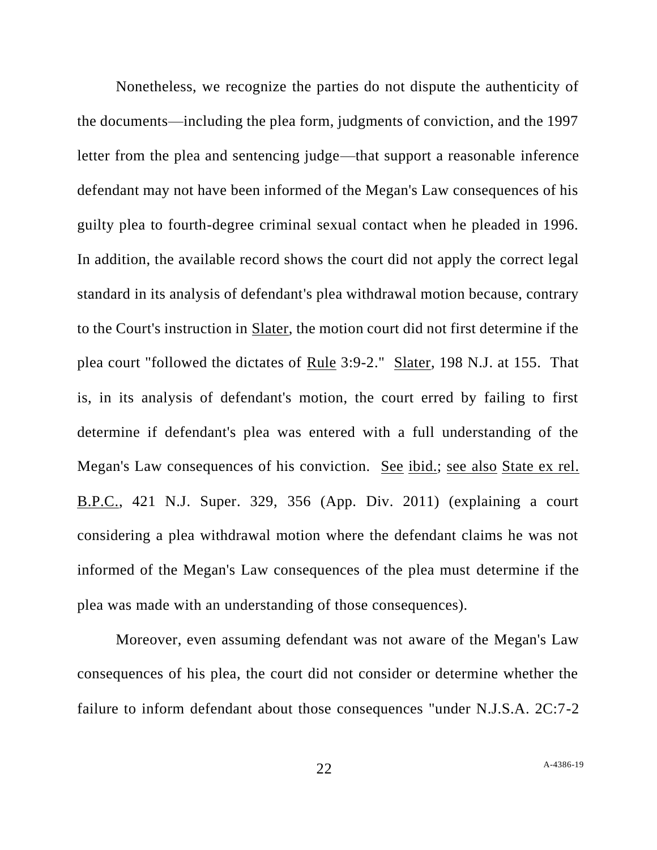Nonetheless, we recognize the parties do not dispute the authenticity of the documents—including the plea form, judgments of conviction, and the 1997 letter from the plea and sentencing judge—that support a reasonable inference defendant may not have been informed of the Megan's Law consequences of his guilty plea to fourth-degree criminal sexual contact when he pleaded in 1996. In addition, the available record shows the court did not apply the correct legal standard in its analysis of defendant's plea withdrawal motion because, contrary to the Court's instruction in Slater, the motion court did not first determine if the plea court "followed the dictates of Rule 3:9-2." Slater, 198 N.J. at 155. That is, in its analysis of defendant's motion, the court erred by failing to first determine if defendant's plea was entered with a full understanding of the Megan's Law consequences of his conviction. See ibid.; see also State ex rel. B.P.C., 421 N.J. Super. 329, 356 (App. Div. 2011) (explaining a court considering a plea withdrawal motion where the defendant claims he was not informed of the Megan's Law consequences of the plea must determine if the plea was made with an understanding of those consequences).

Moreover, even assuming defendant was not aware of the Megan's Law consequences of his plea, the court did not consider or determine whether the failure to inform defendant about those consequences "under N.J.S.A. 2C:7-2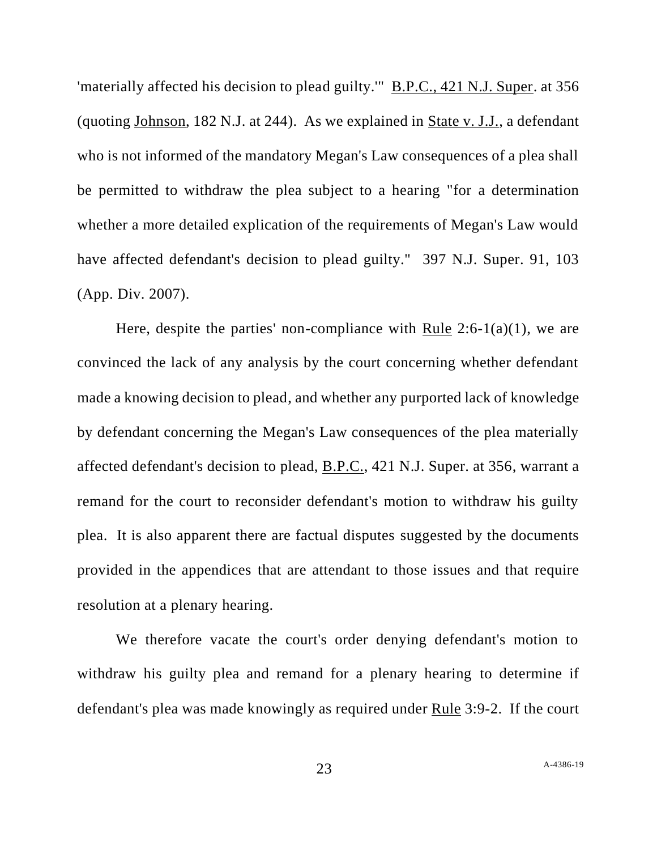'materially affected his decision to plead guilty.'" B.P.C., 421 N.J. Super. at 356 (quoting Johnson, 182 N.J. at 244). As we explained in State v. J.J., a defendant who is not informed of the mandatory Megan's Law consequences of a plea shall be permitted to withdraw the plea subject to a hearing "for a determination whether a more detailed explication of the requirements of Megan's Law would have affected defendant's decision to plead guilty." 397 N.J. Super. 91, 103 (App. Div. 2007).

Here, despite the parties' non-compliance with Rule  $2:6-1(a)(1)$ , we are convinced the lack of any analysis by the court concerning whether defendant made a knowing decision to plead, and whether any purported lack of knowledge by defendant concerning the Megan's Law consequences of the plea materially affected defendant's decision to plead, B.P.C., 421 N.J. Super. at 356, warrant a remand for the court to reconsider defendant's motion to withdraw his guilty plea. It is also apparent there are factual disputes suggested by the documents provided in the appendices that are attendant to those issues and that require resolution at a plenary hearing.

We therefore vacate the court's order denying defendant's motion to withdraw his guilty plea and remand for a plenary hearing to determine if defendant's plea was made knowingly as required under Rule 3:9-2. If the court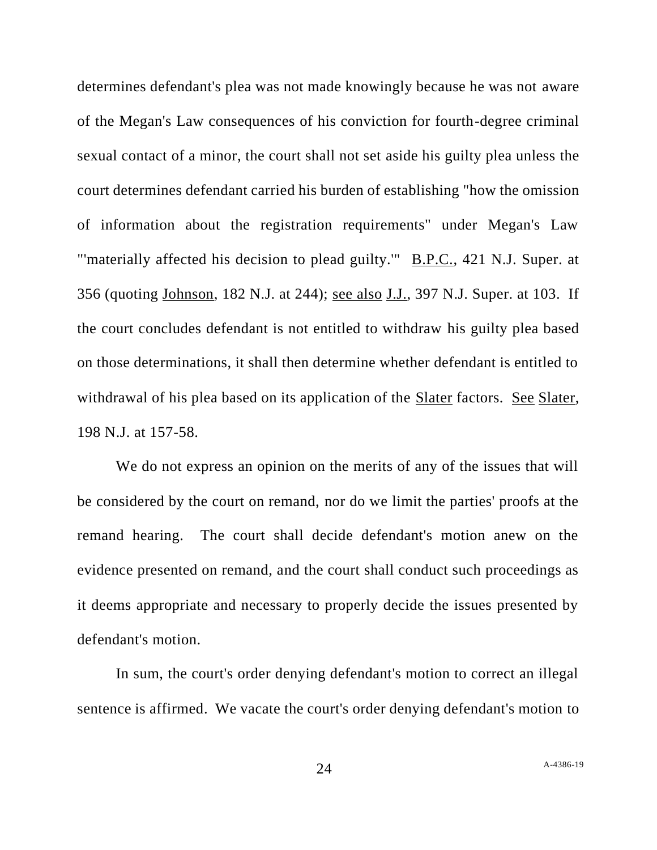determines defendant's plea was not made knowingly because he was not aware of the Megan's Law consequences of his conviction for fourth-degree criminal sexual contact of a minor, the court shall not set aside his guilty plea unless the court determines defendant carried his burden of establishing "how the omission of information about the registration requirements" under Megan's Law "'materially affected his decision to plead guilty." B.P.C., 421 N.J. Super. at 356 (quoting Johnson, 182 N.J. at 244); see also J.J., 397 N.J. Super. at 103. If the court concludes defendant is not entitled to withdraw his guilty plea based on those determinations, it shall then determine whether defendant is entitled to withdrawal of his plea based on its application of the Slater factors. See Slater, 198 N.J. at 157-58.

We do not express an opinion on the merits of any of the issues that will be considered by the court on remand, nor do we limit the parties' proofs at the remand hearing. The court shall decide defendant's motion anew on the evidence presented on remand, and the court shall conduct such proceedings as it deems appropriate and necessary to properly decide the issues presented by defendant's motion.

In sum, the court's order denying defendant's motion to correct an illegal sentence is affirmed. We vacate the court's order denying defendant's motion to